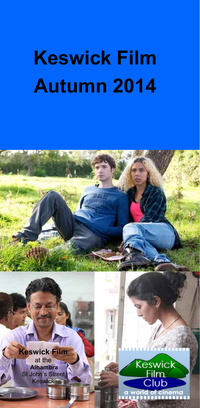# **Keswick Film Autumn 2014**

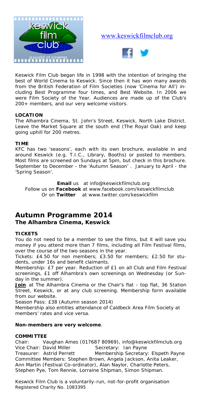

#### www.keswickfilmclub.org



Keswick Film Club began life in 1998 with the intention of bringing the best of World Cinema to Keswick. Since then it has won many awards from the British Federation of Film Societies (now 'Cinema for All') including Best Programme four times, and Best Website. In 2006 we were Film Society of the Year. Audiences are made up of the Club's 200+ members, and our very welcome visitors.

#### **LOCATION**

The Alhambra Cinema, St. John's Street, Keswick, North Lake District. Leave the Market Square at the south end (The Royal Oak) and keep going uphill for 200 metres.

#### **TIME**

KFC has two 'seasons', each with its own brochure, available in and around Keswick (e.g. T.I.C., Library, Booths) or posted to members. Most films are screened on Sundays at 5pm, but check in this brochure. September to December - the 'Autumn Season' . January to April - the 'Spring Season'.

**Email** us at info@keswickfilmclub.org Follow us on **Facebook** at www.facebook.com/keswickfilmclub Or on **Twitter** at www.twitter.com/keswickfilm

### **Autumn Programme 2014**

#### **The Alhambra Cinema, Keswick**

#### **TICKETS**

You do not need to be a member to see the films, but it will save you money if you attend more than 7 films, including all Film Festival films, over the course of the two seasons in the year.

*Tickets:* £4.50 for non members; £3.50 for members; £2.50 for students, under 16s and benefit claimants.

*Membership:* £7 per year. Reduction of £1 on all Club and Film Festival screenings, £1 off Alhambra's own screenings on Wednesday (or Sunday in the summer).

Join at The Alhambra Cinema or the Chair's flat - top flat, 36 Station Street, Keswick, or at any club screening. Membership form available from our website.

*Season Pass:* £38 (Autumn season 2014)

Membership also entitles attendance of Caldbeck Area Film Society at members' rates and vice versa.

#### **Non-members are very welcome**.

#### **COMMITTEE**

Chair: Vaughan Ames (017687 80969), info@keswickfilmclub.org Vice Chair: David Miller Secretary: Ian Payne Treasurer: Astrid Perrett Membership Secretary: Elspeth Payne Committee Members: Stephen Brown, Angela Jackson, Anita Leaker, Ann Martin (Festival Co-ordinator), Alan Naylor, Charlotte Peters, Stephen Pye, Tom Rennie, Lorraine Shipman, Simon Shipman.

*Keswick Film Club is a voluntarily-run, not-for-profit organisation Registered Charity No. 1083395*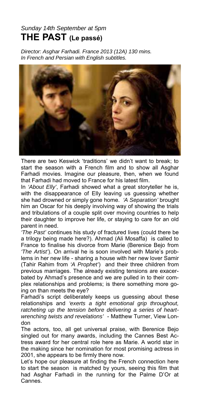#### *Sunday 14th September at 5pm*  **THE PAST (Le passé)**

*Director: Asghar Farhadi. France 2013 (12A) 130 mins. In French and Persian with English subtitles.*



There are two Keswick 'traditions' we didn't want to break; to start the season with a French film and to show all Asghar Farhadi movies. Imagine our pleasure, then, when we found that Farhadi had moved to France for his latest film.

In *'About Elly'*, Farhadi showed what a great storyteller he is, with the disappearance of Elly leaving us guessing whether she had drowned or simply gone home. *'A Separation'* brought him an Oscar for his deeply involving way of showing the trials and tribulations of a couple split over moving countries to help their daughter to improve her life, or staying to care for an old parent in need.

*'The Past'* continues his study of fractured lives (could there be a trilogy being made here?). Ahmad (Ali Mosaffa) is called to France to finalise his divorce from Marie (Berenice Bejo from *'The Artist'*). On arrival he is soon involved with Marie's problems in her new life - sharing a house with her new lover Samir (Tahir Rahim from *'A Prophet'*) and their three children from previous marriages. The already existing tensions are exacerbated by Ahmad's presence and we are pulled in to their complex relationships and problems; is there something more going on than meets the eye?

Farhadi's script deliberately keeps us guessing about these relationships and *'exerts a tight emotional grip throughout, ratcheting up the tension before delivering a series of heartwrenching twists and revelations'* - Matthew Turner, View London

The actors, too, all get universal praise, with Berenice Bejo singled out for many awards, including the Cannes Best Actress award for her central role here as Marie. A world star in the making since her nomination for most promising actress in 2001, she appears to be firmly there now.

Let's hope our pleasure at finding the French connection here to start the season is matched by yours, seeing this film that had Asghar Farhadi in the running for the Palme D'Or at Cannes.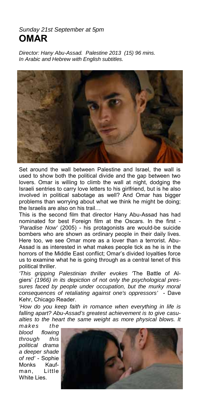#### *Sunday 21st September at 5pm*  **OMAR**

*Director: Hany Abu-Assad. Palestine 2013 (15) 96 mins. In Arabic and Hebrew with English subtitles.* 



Set around the wall between Palestine and Israel, the wall is used to show both the political divide and the gap between two lovers. Omar is willing to climb the wall at night, dodging the Israeli sentries to carry love letters to his girlfriend, but is he also involved in political sabotage as well? And Omar has bigger problems than worrying about what we think he might be doing; the Israelis are also on his trail…

This is the second film that director Hany Abu-Assad has had nominated for best Foreign film at the Oscars. In the first - *'Paradise Now'* (2005) - his protagonists are would-be suicide bombers who are shown as ordinary people in their daily lives. Here too, we see Omar more as a lover than a terrorist. Abu-Assad is as interested in what makes people tick as he is in the horrors of the Middle East conflict; Omar's divided loyalties force us to examine what he is going through as a central tenet of this political thriller.

*'This gripping Palestinian thriller evokes '*The Battle of Algiers' *(1966) in its depiction of not only the psychological pressures faced by people under occupation, but the murky moral consequences of retaliating against one's oppressors'* - Dave Kehr, Chicago Reader.

*'How do you keep faith in romance when everything in life is falling apart? Abu-Assad's greatest achievement is to give casualties to the heart the same weight as more physical blows. It* 

*makes the blood flowing through this political drama a deeper shade of red'* - Sophie Monks Kaufman, Little White Lies.

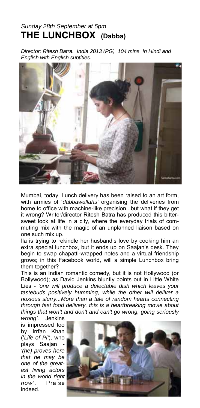### *Sunday 28th September at 5pm*  **THE LUNCHBOX (Dabba)**

*Director: Ritesh Batra. India 2013 (PG) 104 mins. In Hindi and English with English subtitles.*



Mumbai, today. Lunch delivery has been raised to an art form, with armies of '*dabbawallahs'* organising the deliveries from home to office with machine-like precision...but what if they get it wrong? Writer/director Ritesh Batra has produced this bittersweet look at life in a city, where the everyday trials of commuting mix with the magic of an unplanned liaison based on one such mix up.

Ila is trying to rekindle her husband's love by cooking him an extra special lunchbox, but it ends up on Saajan's desk. They begin to swap chapatti-wrapped notes and a virtual friendship grows; in this Facebook world, will a simple Lunchbox bring them together?

This is an Indian romantic comedy, but it is not Hollywood (or Bollywood); as David Jenkins bluntly points out in Little White Lies - *'one will produce a delectable dish which leaves your tastebuds positively humming, while the other will deliver a noxious slurry...More than a tale of random hearts connecting through fast food delivery, this is a heartbreaking movie about things that won't and don't and can't go wrong, going seriously* 

*wrong'.* Jenkins is impressed too by Irrfan Khan ('*Life of Pi'*), who plays Saajan - *'(he) proves here that he may be one of the greatest living actors in the world right now'*. Praise indeed.

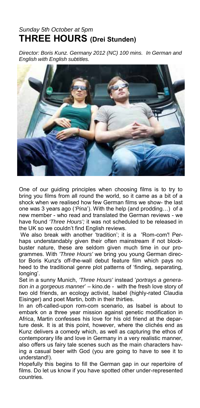### *Sunday 5th October at 5pm*  **THREE HOURS (Drei Stunden)**

*Director: Boris Kunz. Germany 2012 (NC) 100 mins. In German and English with English subtitles.*



One of our guiding principles when choosing films is to try to bring you films from all round the world, so it came as a bit of a shock when we realised how few German films we show- the last one was 3 years ago (*'Pina*'). With the help (and prodding…) of a new member - who read and translated the German reviews - we have found *'Three Hours';* it was not scheduled to be released in the UK so we couldn't find English reviews.

We also break with another 'tradition'; it is a 'Rom-com'! Perhaps understandably given their often mainstream if not blockbuster nature, these are seldom given much time in our programmes. With *'Three Hours'* we bring you young German director Boris Kunz's off-the-wall debut feature film which pays no heed to the traditional genre plot patterns of 'finding, separating, longing'.

Set in a sunny Munich, *'Three Hours'* instead '*portrays a generation in a gorgeous manner*' – kino.de - with the fresh love story of two old friends, an ecology activist, Isabel (highly-rated Claudia Eisinger) and poet Martin, both in their thirties.

In an oft-called-upon rom-com scenario, as Isabel is about to embark on a three year mission against genetic modification in Africa, Martin confesses his love for his old friend at the departure desk. It is at this point, however, where the clichés end as Kunz delivers a comedy which, as well as capturing the ethos of contemporary life and love in Germany in a very realistic manner, also offers us fairy tale scenes such as the main characters having a casual beer with God (you are going to have to see it to understand!).

Hopefully this begins to fill the German gap in our repertoire of films. Do let us know if you have spotted other under-represented countries.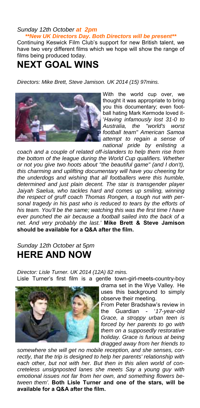#### *Sunday 12th October at 2pm*

*\*\*New UK Directors Day. Both Directors will be present\*\** 

Continuing Keswick Film Club's support for new British talent, we have two very different films which we hope will show the range of films being produced today.

### **NEXT GOAL WINS**

*Directors: Mike Brett, Steve Jamison. UK 2014 (15) 97mins.* 



With the world cup over, we thought it was appropriate to bring you this documentary; even football hating Mark Kermode loved it- '*Having infamously lost 31-0 to Australia, the "world's worst football team" American Samoa attempt to regain a sense of national pride by enlisting a* 

*coach and a couple of related off-islanders to help them rise from the bottom of the league during the World Cup qualifiers. Whether or not you give two hoots about "the beautiful game" (and I don't), this charming and uplifting documentary will have you cheering for the underdogs and wishing that all footballers were this humble, determined and just plain decent. The star is transgender player Jaiyah Saelua, who tackles hard and comes up smiling, winning the respect of gruff coach Thomas Rongen, a tough nut with personal tragedy in his past who is reduced to tears by the efforts of his team. You'll be the same; watching this was the first time I have ever punched the air because a football sailed into the back of a net. And very probably the last.'* **Mike Brett & Steve Jamison should be available for a Q&A after the film.** 

*Sunday 12th October at 5pm* 

### **HERE AND NOW**

*Director: Lisle Turner. UK 2014 (12A) 82 mins.*  Lisle Turner's first film is a gentle town-girl-meets-country-boy



drama set in the Wye Valley*.* He uses this background to simply observe their meeting.

From Peter Bradshaw's review in the Guardian - '*17-year-old Grace, a stroppy urban teen is forced by her parents to go with them on a supposedly restorative holiday. Grace is furious at being dragged away from her friends to* 

*somewhere she will get no mobile reception, and she senses, correctly, that the trip is designed to help her parents' relationship with each other, but not with her. But then in this alien world of concreteless unsignposted lanes she meets Say a young guy with emotional issues not far from her own, and something flowers between them'.* **Both Lisle Turner and one of the stars, will be available for a Q&A after the film.**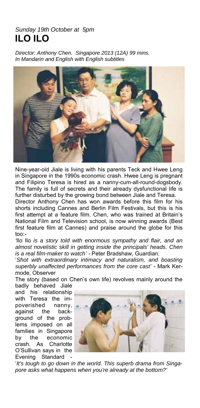#### *Sunday 19th October at 5pm*  **ILO ILO**

*Director: Anthony Chen. Singapore 2013 (12A) 99 mins. In Mandarin and English with English subtitles* 



Nine-year-old Jiale is living with his parents Teck and Hwee Leng in Singapore in the 1990s economic crash. Hwee Leng is pregnant and Filipino Teresa is hired as a nanny-cum-all-round-dogsbody. The family is full of secrets and their already dysfunctional life is further disturbed by the growing bond between Jiale and Teresa.

Director Anthony Chen has won awards before this film for his shorts including Cannes and Berlin Film Festivals, but this is his first attempt at a feature film. Chen, who was trained at Britain's National Film and Television school, is now winning awards (Best first feature film at Cannes) and praise around the globe for this too:-

*'*Ilo Ilo *is a story told with enormous sympathy and flair, and an almost novelistic skill in getting inside the principals' heads. Chen is a real film-maker to watch' -* Peter Bradshaw, Guardian.

'*Shot with extraordinary intimacy and naturalism, and boasting superbly unaffected performances from the core cast'* - Mark Kermode, Observer

The story (based on Chen's own life) revolves mainly around the badly behaved Jiale

and his relationship with Teresa the impoverished nanny, against the background of the problems imposed on all families in Singapore by the economic crash. As Charlotte O'Sullivan says in the Evening Standard -



'*It's tough to go down in the world. This superb drama from Singapore asks what happens when you're already at the bottom?'*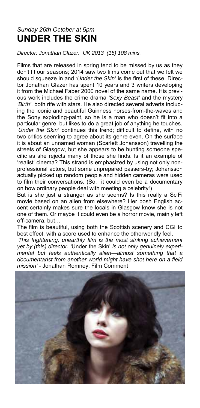### *Sunday 26th October at 5pm*  **UNDER THE SKIN**

*Director: Jonathan Glazer. UK 2013 (15) 108 mins.* 

Films that are released in spring tend to be missed by us as they don't fit our seasons; 2014 saw two films come out that we felt we should squeeze in and *'Under the Skin'* is the first of these. Director Jonathan Glazer has spent 10 years and 3 writers developing it from the Michael Faber 2000 novel of the same name. His previous work includes the crime drama *'Sexy Beast'* and the mystery *'Birth'*, both rife with stars. He also directed several adverts including the iconic and beautiful Guinness horses-from-the-waves and the Sony exploding-paint, so he is a man who doesn't fit into a particular genre, but likes to do a great job of anything he touches. *'Under the Skin'* continues this trend; difficult to define, with no two critics seeming to agree about its genre even. On the surface it is about an unnamed woman (Scarlett Johansson) travelling the streets of Glasgow, but she appears to be hunting someone specific as she rejects many of those she finds. Is it an example of 'realist' cinema? This strand is emphasized by using not only nonprofessional actors, but some unprepared passers-by; Johansson actually picked up random people and hidden cameras were used to film their conversations. (So, it could even be a documentary on how ordinary people deal with meeting a celebrity!)

But is she just a stranger as she seems? Is this really a SciFi movie based on an alien from elsewhere? Her posh English accent certainly makes sure the locals in Glasgow know she is not one of them. Or maybe it could even be a horror movie, mainly left off-camera, but…

The film is beautiful, using both the Scottish scenery and CGI to best effect, with a score used to enhance the otherworldly feel.

*'This frightening, unearthly film is the most striking achievement yet by (this) director. '*Under the Skin' *is not only genuinely experimental but feels authentically alien—almost something that a documentarist from another world might have shot here on a field mission'* - Jonathan Romney, Film Comment

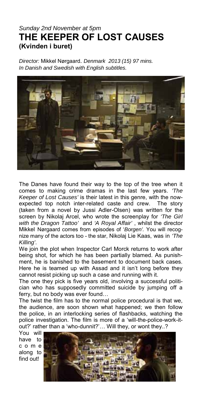#### *Sunday 2nd November at 5pm*  **THE KEEPER OF LOST CAUSES (Kvinden i buret)**

*Director:* Mikkel Nørgaard. *Denmark 2013 (15) 97 mins. In Danish and Swedish with English subtitles.* 



The Danes have found their way to the top of the tree when it comes to making crime dramas in the last few years. *'The Keeper of Lost Causes'* is their latest in this genre, with the nowexpected top notch inter-related caste and crew. The story (taken from a novel by Jussi Adler-Olsen) was written for the screen by Nikolaj Arcel, who wrote the screenplay for *'The Girl with the Dragon Tattoo'* and *'A Royal Affair'* , whilst the director Mikkel Nørgaard comes from episodes of '*Borgen'.* You will recognize many of the actors too - the star, Nikolaj Lie Kaas, was in *'The Killing'*.

We join the plot when Inspector Carl Morck returns to work after being shot, for which he has been partially blamed. As punishment, he is banished to the basement to document back cases. Here he is teamed up with Assad and it isn't long before they cannot resist picking up such a case and running with it.

The one they pick is five years old, involving a successful politician who has supposedly committed suicide by jumping off a ferry, but no body was ever found…

The twist the film has to the normal police procedural is that we, the audience, are soon shown what happened; we then follow the police, in an interlocking series of flashbacks, watching the police investigation. The film is more of a 'will-the-police-work-itout?' rather than a 'who-dunnit?'… Will they, or wont they..?

You will have to c o m e along to find out!

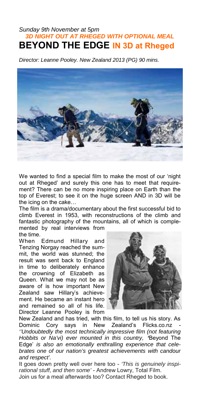#### *Sunday 9th November at 5pm 3D NIGHT OUT AT RHEGED WITH OPTIONAL MEAL*  **BEYOND THE EDGE IN 3D at Rheged**

*Director: Leanne Pooley. New Zealand 2013 (PG) 90 mins.* 



We wanted to find a special film to make the most of our 'night out at Rheged' and surely this one has to meet that requirement? There can be no more inspiring place on Earth than the top of Everest; to see it on the huge screen AND in 3D will be the icing on the cake…

The film is a drama/documentary about the first successful bid to climb Everest in 1953, with reconstructions of the climb and fantastic photography of the mountains, all of which is complemented by real interviews from the time.

When Edmund Hillary and Tenzing Norgay reached the summit, the world was stunned; the result was sent back to England in time to deliberately enhance the crowning of Elizabeth as Queen. What we may not be as aware of is how important New Zealand saw Hillary's achievement. He became an instant hero and remained so all of his life. Director Leanne Pooley is from



New Zealand and has tried, with this film, to tell us his story. As Dominic Cory says in New Zealand's Flicks.co.nz *''Undoubtedly the most technically impressive film (not featuring Hobbits or Na'vi) ever mounted in this country, '*Beyond The Edge' *is also an emotionally enthralling experience that celebrates one of our nation's greatest achievements with candour and respect'.*

It goes down pretty well over here too - *'This is genuinely inspirational stuff, and then some'* - Andrew Lowry, Total Film. Join us for a meal afterwards too? Contact Rheged to book.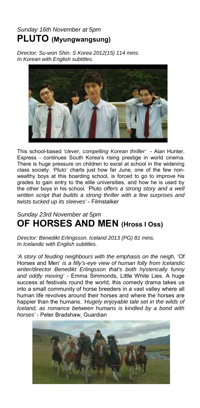### *Sunday 16th November at 5pm*  **PLUTO (Myungwangsung)**

*Director: Su-won Shin. S Korea 2012(15) 114 mins. In Korean with English subtitles.* 



This school-based *'clever, compelling Korean thriller'* - Alan Hunter, Express *-* continues South Korea's rising prestige in world cinema. There is huge pressure on children to excel at school in the widening class society. *'Pluto'* charts just how far June, one of the few nonwealthy boys at this boarding school, is forced to go to improve his grades to gain entry to the elite universities, and how he is used by the other boys in his school. 'Pluto *offers a strong story and a well written script that builds a strong thriller with a few surprises and twists tucked up its sleeves'* - Filmstalker

### *Sunday 23rd November at 5pm*  **OF HORSES AND MEN (Hross I Oss)**

*Director: Benedikt Erlingsson. Iceland 2013 (PG) 81 mins. In Icelandic with English subtitles.* 

*'A story of feuding neighbours with the emphasis on the neigh,* 'Of Horses and Men' *is a filly's-eye view of human folly from Icelandic writer/director Benedikt Erlingsson that's both hysterically funny and oddly moving'* - Emma Simmonds, Little White Lies. A huge success at festivals round the world, this comedy drama takes us into a small community of horse breeders in a vast valley where all human life revolves around their horses and where the horses are happier than the humans. *'Hugely enjoyable tale set in the wilds of Iceland, as romance between humans is kindled by a bond with horses'* - Peter Bradshaw, Guardian

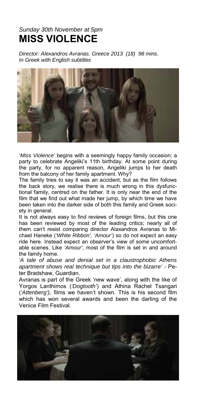### *Sunday 30th November at 5pm*  **MISS VIOLENCE**

*Director: Alexandros Avranas. Greece 2013 (18) 98 mins. In Greek with English subtitles* 



'*Miss Violence'* begins with a seemingly happy family occasion; a party to celebrate Angeliki's 11th birthday. At some point during the party, for no apparent reason, Angeliki jumps to her death from the balcony of her family apartment. Why?

The family tries to say it was an accident, but as the film follows the back story, we realise there is much wrong in this dysfunctional family, centred on the father. It is only near the end of the film that we find out what made her jump, by which time we have been taken into the darker side of both this family and Greek society in general.

It is not always easy to find reviews of foreign films, but this one has been reviewed by most of the leading critics; nearly all of them can't resist comparing director Alaxandros Avranas to Michael Haneke (*'White Ribbon', 'Amour'*) so do not expect an easy ride here. Instead expect an observer's view of some uncomfortable scenes. Like *'Amour'*, most of the film is set in and around the family home.

*'A tale of abuse and denial set in a claustrophobic Athens apartment shows real technique but tips into the bizarre' -* Peter Bradshaw, Guardian.

Avranas is part of the Greek 'new wave', along with the like of Yorgos Lanthimos (*'Dogtooth'*) and Athina Rachel Tsangari (*'Attenberg'),* films we haven't shown. This is his second film which has won several awards and been the darling of the Venice Film Festival.

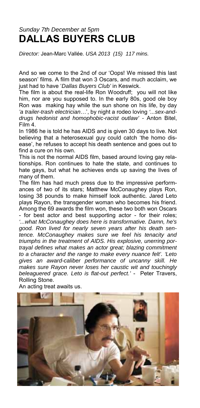### *Sunday 7th December at 5pm*  **DALLAS BUYERS CLUB**

*Director:* Jean-Marc Vallée. *USA 2013 (15) 117 mins.* 

And so we come to the 2nd of our 'Oops! We missed this last season' films. A film that won 3 Oscars, and much acclaim, we just had to have '*Dallas Buyers Club'* in Keswick.

The film is about the real-life Ron Woodruff; you will not like him, nor are you supposed to. In the early 80s, good ole boy Ron was making hay while the sun shone on his life, by day *'a trailer-trash electrician*…', by night a rodeo loving *'...sex-anddrugs hedonist and homophobic-racist outlaw' -* Anton Bitel, Film 4.

In 1986 he is told he has AIDS and is given 30 days to live. Not believing that a heterosexual guy could catch 'the homo disease', he refuses to accept his death sentence and goes out to find a cure on his own.

This is not the normal AIDS film, based around loving gay relationships. Ron continues to hate the state, and continues to hate gays, but what he achieves ends up saving the lives of many of them.

The film has had much press due to the impressive performances of two of its stars; Matthew McConaughey plays Ron, losing 38 pounds to make himself look authentic. Jared Leto plays Rayon, the transgender woman who becomes his friend. Among the 69 awards the film won, these two both won Oscars - for best actor and best supporting actor - for their roles; *'...what McConaughey does here is transformative. Damn, he's good. Ron lived for nearly seven years after his death sentence. McConaughey makes sure we feel his tenacity and triumphs in the treatment of AIDS. His explosive, unerring portrayal defines what makes an actor great; blazing commitment to a character and the range to make every nuance felt'. 'Leto gives an award-caliber performance of uncanny skill. He makes sure Rayon never loses her caustic wit and touchingly beleaguered grace. Leto is flat-out perfect.'* - Peter Travers, Rolling Stone.



An acting treat awaits us.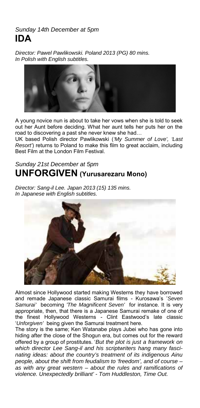#### *Sunday 14th December at 5pm*  **IDA**

*Director: Pawel Pawlikowski. Poland 2013 (PG) 80 mins. In Polish with English subtitles.* 



A young novice nun is about to take her vows when she is told to seek out her Aunt before deciding. What her aunt tells her puts her on the road to discovering a past she never knew she had…

UK based Polish director Pawlikowski (*'My Summer of Love', 'Last Resort'*) returns to Poland to make this film to great acclaim, including Best Film at the London Film Festival.

#### *Sunday 21st December at 5pm*  **UNFORGIVEN (Yurusarezaru Mono)**

*Director: Sang-il Lee. Japan 2013 (15) 135 mins. In Japanese with English subtitles.* 



Almost since Hollywood started making Westerns they have borrowed and remade Japanese classic Samurai films - Kurosawa's '*Seven Samurai'* becoming *'The Magnificent Seven'* for instance. It is very appropriate, then, that there is a Japanese Samurai remake of one of the finest Hollywood Westerns - Clint Eastwood's late classic '*Unforgiven'* being given the Samurai treatment here.

The story is the same; Ken Watanabe plays Jubei who has gone into hiding after the close of the Shogun era, but comes out for the reward offered by a group of prostitutes. '*But the plot is just a framework on which director Lee Sang-il and his scriptwriters hang many fascinating ideas: about the country's treatment of its indigenous Ainu people, about the shift from feudalism to 'freedom', and of course – as with any great western – about the rules and ramifications of violence. Unexpectedly brilliant' - Tom Huddleston, Time Out.*